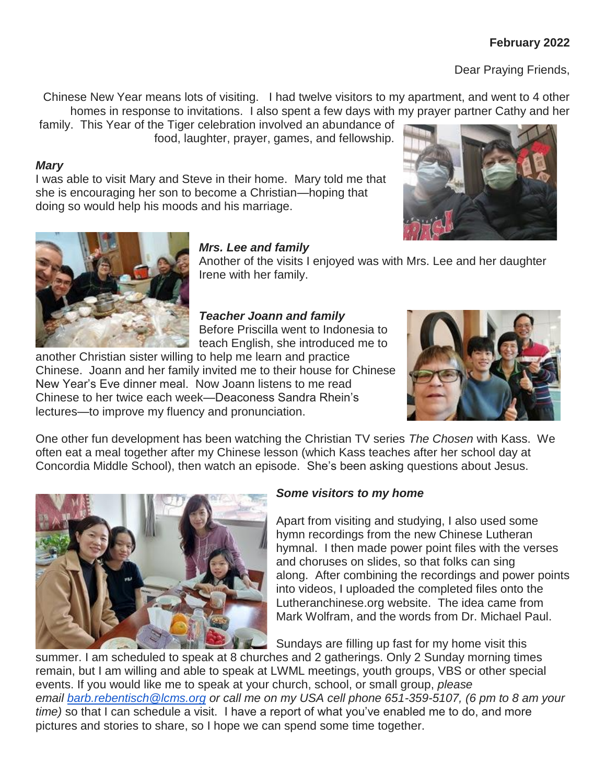# **February 2022**

Dear Praying Friends,

Chinese New Year means lots of visiting. I had twelve visitors to my apartment, and went to 4 other homes in response to invitations. I also spent a few days with my prayer partner Cathy and her

family. This Year of the Tiger celebration involved an abundance of food, laughter, prayer, games, and fellowship.

#### *Mary*

I was able to visit Mary and Steve in their home. Mary told me that she is encouraging her son to become a Christian—hoping that doing so would help his moods and his marriage.





#### *Mrs. Lee and family*

Another of the visits I enjoyed was with Mrs. Lee and her daughter Irene with her family.

## *Teacher Joann and family* Before Priscilla went to Indonesia to

teach English, she introduced me to

another Christian sister willing to help me learn and practice Chinese. Joann and her family invited me to their house for Chinese New Year's Eve dinner meal. Now Joann listens to me read Chinese to her twice each week—Deaconess Sandra Rhein's lectures—to improve my fluency and pronunciation.



One other fun development has been watching the Christian TV series *The Chosen* with Kass. We often eat a meal together after my Chinese lesson (which Kass teaches after her school day at Concordia Middle School), then watch an episode. She's been asking questions about Jesus.



## *Some visitors to my home*

Apart from visiting and studying, I also used some hymn recordings from the new Chinese Lutheran hymnal. I then made power point files with the verses and choruses on slides, so that folks can sing along. After combining the recordings and power points into videos, I uploaded the completed files onto the Lutheranchinese.org website. The idea came from Mark Wolfram, and the words from Dr. Michael Paul.

Sundays are filling up fast for my home visit this

summer. I am scheduled to speak at 8 churches and 2 gatherings. Only 2 Sunday morning times remain, but I am willing and able to speak at LWML meetings, youth groups, VBS or other special events. If you would like me to speak at your church, school, or small group, *please email [barb.rebentisch@lcms.org](mailto:barb.rebentisch@lcms.org) or call me on my USA cell phone 651-359-5107, (6 pm to 8 am your time)* so that I can schedule a visit. I have a report of what you've enabled me to do, and more pictures and stories to share, so I hope we can spend some time together.